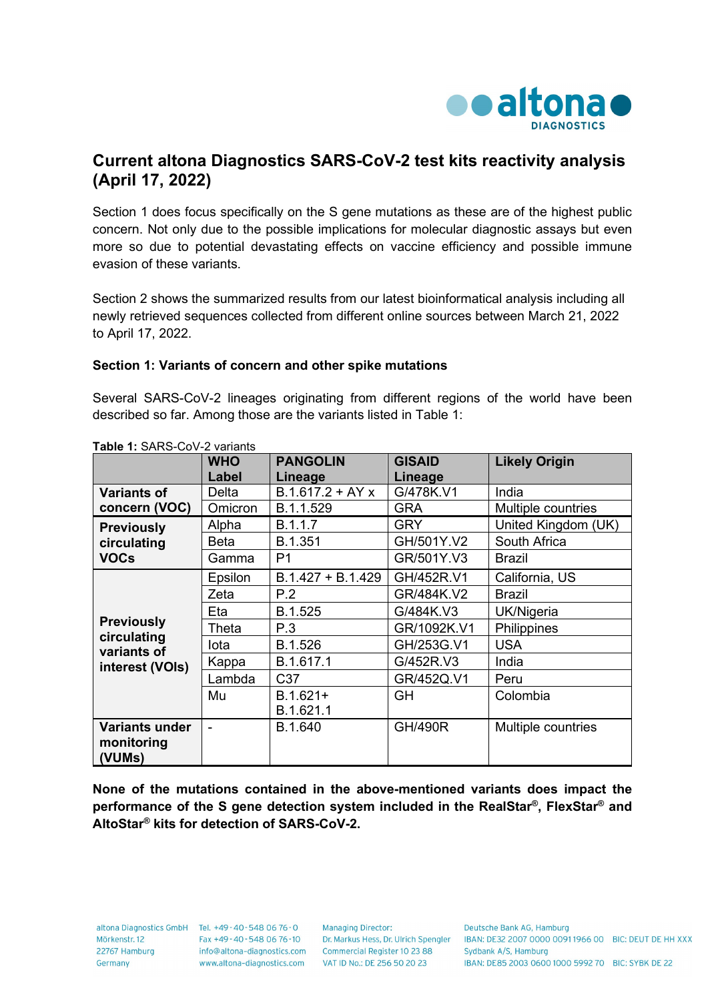

## **Current altona Diagnostics SARS-CoV-2 test kits reactivity analysis (April 17, 2022)**

Section 1 does focus specifically on the S gene mutations as these are of the highest public concern. Not only due to the possible implications for molecular diagnostic assays but even more so due to potential devastating effects on vaccine efficiency and possible immune evasion of these variants.

Section 2 shows the summarized results from our latest bioinformatical analysis including all newly retrieved sequences collected from different online sources between March 21, 2022 to April 17, 2022.

## **Section 1: Variants of concern and other spike mutations**

Several SARS-CoV-2 lineages originating from different regions of the world have been described so far. Among those are the variants listed in Table 1:

|                                                 | <b>WHO</b> | <b>PANGOLIN</b>     | <b>GISAID</b>  | <b>Likely Origin</b> |
|-------------------------------------------------|------------|---------------------|----------------|----------------------|
|                                                 | Label      | Lineage             | Lineage        |                      |
| <b>Variants of</b>                              | Delta      | $B.1.617.2 + AYx$   | G/478K.V1      | India                |
| concern (VOC)                                   | Omicron    | B.1.1.529           | <b>GRA</b>     | Multiple countries   |
| <b>Previously</b><br>circulating<br><b>VOCs</b> | Alpha      | B.1.1.7             | <b>GRY</b>     | United Kingdom (UK)  |
|                                                 | Beta       | B.1.351             | GH/501Y.V2     | South Africa         |
|                                                 | Gamma      | P <sub>1</sub>      | GR/501Y.V3     | <b>Brazil</b>        |
|                                                 | Epsilon    | $B.1.427 + B.1.429$ | GH/452R.V1     | California, US       |
|                                                 | Zeta       | P.2                 | GR/484K.V2     | <b>Brazil</b>        |
|                                                 | Eta        | B.1.525             | G/484K.V3      | UK/Nigeria           |
| <b>Previously</b><br>circulating                | Theta      | P.3                 | GR/1092K.V1    | Philippines          |
| variants of                                     | lota       | B.1.526             | GH/253G.V1     | <b>USA</b>           |
| interest (VOIs)                                 | Kappa      | B.1.617.1           | G/452R.V3      | India                |
|                                                 | Lambda     | C <sub>37</sub>     | GR/452Q.V1     | Peru                 |
|                                                 | Mu         | $B.1.621+$          | <b>GH</b>      | Colombia             |
|                                                 |            | B.1.621.1           |                |                      |
| <b>Variants under</b>                           |            | B.1.640             | <b>GH/490R</b> | Multiple countries   |
| monitoring                                      |            |                     |                |                      |
| (VUMs)                                          |            |                     |                |                      |

**Table 1:** SARS-CoV-2 variants

**None of the mutations contained in the above-mentioned variants does impact the performance of the S gene detection system included in the RealStar®, FlexStar® and AltoStar® kits for detection of SARS-CoV-2.**

22767 Hamburg Germany

altona Diagnostics GmbH Tel. +49-40-548 06 76-0 Mörkenstr. 12 Fax +49 - 40 - 548 06 76 - 10 www.altona-diagnostics.com

**Managing Director:** info@altona-diagnostics.com Commercial Register 10 23 88 VAT ID No.: DE 256 50 20 23